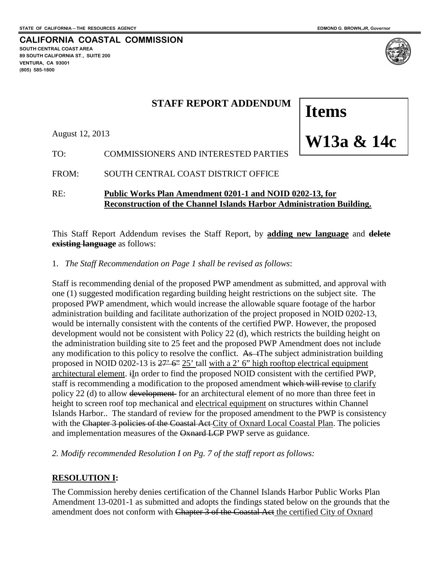**W13a & 14c**

**Items** 

**CALIFORNIA COASTAL COMMISSION SOUTH CENTRAL COAST AREA 89 SOUTH CALIFORNIA ST., SUITE 200 VENTURA, CA 93001 (805) 585-1800**



# **STAFF REPORT ADDENDUM**

August 12, 2013

TO: COMMISSIONERS AND INTERESTED PARTIES

FROM: SOUTH CENTRAL COAST DISTRICT OFFICE

RE: **Public Works Plan Amendment 0201-1 and NOID 0202-13, for Reconstruction of the Channel Islands Harbor Administration Building.**

This Staff Report Addendum revises the Staff Report, by **adding new language** and **delete existing language** as follows:

1. *The Staff Recommendation on Page 1 shall be revised as follows*:

Staff is recommending denial of the proposed PWP amendment as submitted, and approval with one (1) suggested modification regarding building height restrictions on the subject site. The proposed PWP amendment, which would increase the allowable square footage of the harbor administration building and facilitate authorization of the project proposed in NOID 0202-13, would be internally consistent with the contents of the certified PWP. However, the proposed development would not be consistent with Policy 22 (d), which restricts the building height on the administration building site to 25 feet and the proposed PWP Amendment does not include any modification to this policy to resolve the conflict. As  $\pm$ The subject administration building proposed in NOID 0202-13 is  $27' 6'' 25'$  tall with a 2' 6" high rooftop electrical equipment architectural element. iIn order to find the proposed NOID consistent with the certified PWP, staff is recommending a modification to the proposed amendment which will revise to clarify policy 22 (d) to allow development for an architectural element of no more than three feet in height to screen roof top mechanical and electrical equipment on structures within Channel Islands Harbor.. The standard of review for the proposed amendment to the PWP is consistency with the Chapter 3 policies of the Coastal Act City of Oxnard Local Coastal Plan. The policies and implementation measures of the Oxnard LCP PWP serve as guidance.

*2. Modify recommended Resolution I on Pg. 7 of the staff report as follows:*

### **RESOLUTION I:**

The Commission hereby denies certification of the Channel Islands Harbor Public Works Plan Amendment 13-0201-1 as submitted and adopts the findings stated below on the grounds that the amendment does not conform with Chapter 3 of the Coastal Act the certified City of Oxnard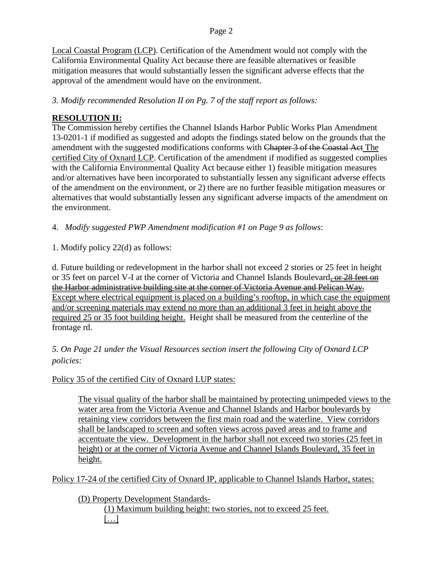#### Page 2

Local Coastal Program (LCP). Certification of the Amendment would not comply with the California Environmental Quality Act because there are feasible alternatives or feasible mitigation measures that would substantially lessen the significant adverse effects that the approval of the amendment would have on the environment.

*3. Modify recommended Resolution II on Pg. 7 of the staff report as follows:*

#### **RESOLUTION II:**

The Commission hereby certifies the Channel Islands Harbor Public Works Plan Amendment 13-0201-1 if modified as suggested and adopts the findings stated below on the grounds that the amendment with the suggested modifications conforms with Chapter 3 of the Coastal Act The certified City of Oxnard LCP. Certification of the amendment if modified as suggested complies with the California Environmental Quality Act because either 1) feasible mitigation measures and/or alternatives have been incorporated to substantially lessen any significant adverse effects of the amendment on the environment, or 2) there are no further feasible mitigation measures or alternatives that would substantially lessen any significant adverse impacts of the amendment on the environment.

4. *Modify suggested PWP Amendment modification #1 on Page 9 as follows*:

1. Modify policy 22(d) as follows:

d. Future building or redevelopment in the harbor shall not exceed 2 stories or 25 feet in height or 35 feet on parcel V-I at the corner of Victoria and Channel Islands Boulevard, or 28 feet on the Harbor administrative building site at the corner of Victoria Avenue and Pelican Way. Except where electrical equipment is placed on a building's rooftop, in which case the equipment and/or screening materials may extend no more than an additional 3 feet in height above the required 25 or 35 foot building height. Height shall be measured from the centerline of the frontage rd.

*5. On Page 21 under the Visual Resources section insert the following City of Oxnard LCP policies:*

Policy 35 of the certified City of Oxnard LUP states:

The visual quality of the harbor shall be maintained by protecting unimpeded views to the water area from the Victoria Avenue and Channel Islands and Harbor boulevards by retaining view corridors between the first main road and the waterline. View corridors shall be landscaped to screen and soften views across paved areas and to frame and accentuate the view. Development in the harbor shall not exceed two stories (25 feet in height) or at the corner of Victoria Avenue and Channel Islands Boulevard, 35 feet in height.

Policy 17-24 of the certified City of Oxnard IP, applicable to Channel Islands Harbor, states:

(D) Property Development Standards-

(1) Maximum building height: two stories, not to exceed 25 feet.  $[\dots]$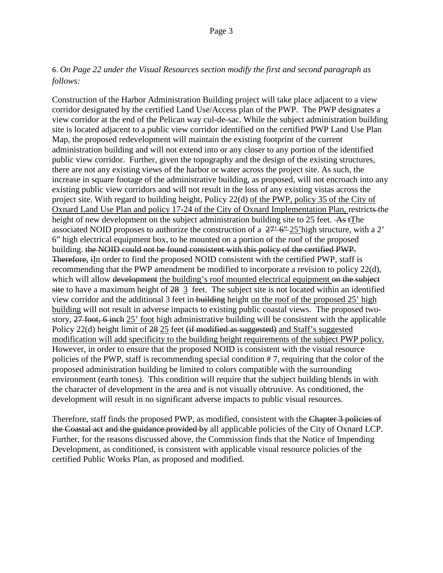# 6. *On Page 22 under the Visual Resources section modify the first and second paragraph as follows:*

Construction of the Harbor Administration Building project will take place adjacent to a view corridor designated by the certified Land Use/Access plan of the PWP. The PWP designates a view corridor at the end of the Pelican way cul-de-sac. While the subject administration building site is located adjacent to a public view corridor identified on the certified PWP Land Use Plan Map, the proposed redevelopment will maintain the existing footprint of the current administration building and will not extend into or any closer to any portion of the identified public view corridor. Further, given the topography and the design of the existing structures, there are not any existing views of the harbor or water across the project site. As such, the increase in square footage of the administrative building, as proposed, will not encroach into any existing public view corridors and will not result in the loss of any existing vistas across the project site. With regard to building height, Policy 22(d) of the PWP, policy 35 of the City of Oxnard Land Use Plan and policy 17-24 of the City of Oxnard Implementation Plan, restricts the height of new development on the subject administration building site to 25 feet.  $\overline{As}$  tThe associated NOID proposes to authorize the construction of a  $27'$  6"-25'high structure, with a 2' 6" high electrical equipment box, to be mounted on a portion of the roof of the proposed building. the NOID could not be found consistent with this policy of the certified PWP. Therefore, in order to find the proposed NOID consistent with the certified PWP, staff is recommending that the PWP amendment be modified to incorporate a revision to policy 22(d), which will allow development the building's roof mounted electrical equipment on the subject site to have a maximum height of 28 3 feet. The subject site is not located within an identified view corridor and the additional 3 feet in building height on the roof of the proposed 25' high building will not result in adverse impacts to existing public coastal views. The proposed twostory, 27 foot, 6 inch 25' foot high administrative building will be consistent with the applicable Policy 22(d) height limit of 28 25 feet (if modified as suggested) and Staff's suggested modification will add specificity to the building height requirements of the subject PWP policy. However, in order to ensure that the proposed NOID is consistent with the visual resource policies of the PWP, staff is recommending special condition # 7, requiring that the color of the proposed administration building be limited to colors compatible with the surrounding environment (earth tones). This condition will require that the subject building blends in with the character of development in the area and is not visually obtrusive. As conditioned, the development will result in no significant adverse impacts to public visual resources.

Therefore, staff finds the proposed PWP, as modified, consistent with the Chapter 3 policies of the Coastal act and the guidance provided by all applicable policies of the City of Oxnard LCP. Further, for the reasons discussed above, the Commission finds that the Notice of Impending Development, as conditioned, is consistent with applicable visual resource policies of the certified Public Works Plan, as proposed and modified.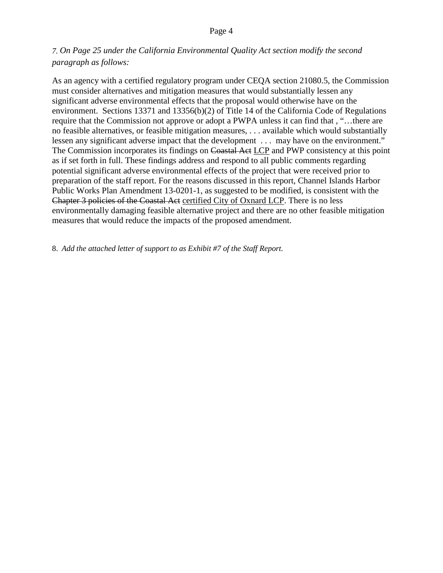#### Page 4

# *7. On Page 25 under the California Environmental Quality Act section modify the second paragraph as follows:*

As an agency with a certified regulatory program under CEQA section 21080.5, the Commission must consider alternatives and mitigation measures that would substantially lessen any significant adverse environmental effects that the proposal would otherwise have on the environment. Sections 13371 and 13356(b)(2) of Title 14 of the California Code of Regulations require that the Commission not approve or adopt a PWPA unless it can find that , "…there are no feasible alternatives, or feasible mitigation measures, . . . available which would substantially lessen any significant adverse impact that the development . . . may have on the environment." The Commission incorporates its findings on Coastal Act LCP and PWP consistency at this point as if set forth in full. These findings address and respond to all public comments regarding potential significant adverse environmental effects of the project that were received prior to preparation of the staff report. For the reasons discussed in this report, Channel Islands Harbor Public Works Plan Amendment 13-0201-1, as suggested to be modified, is consistent with the Chapter 3 policies of the Coastal Act certified City of Oxnard LCP. There is no less environmentally damaging feasible alternative project and there are no other feasible mitigation measures that would reduce the impacts of the proposed amendment.

8. *Add the attached letter of support to as Exhibit #7 of the Staff Report.*